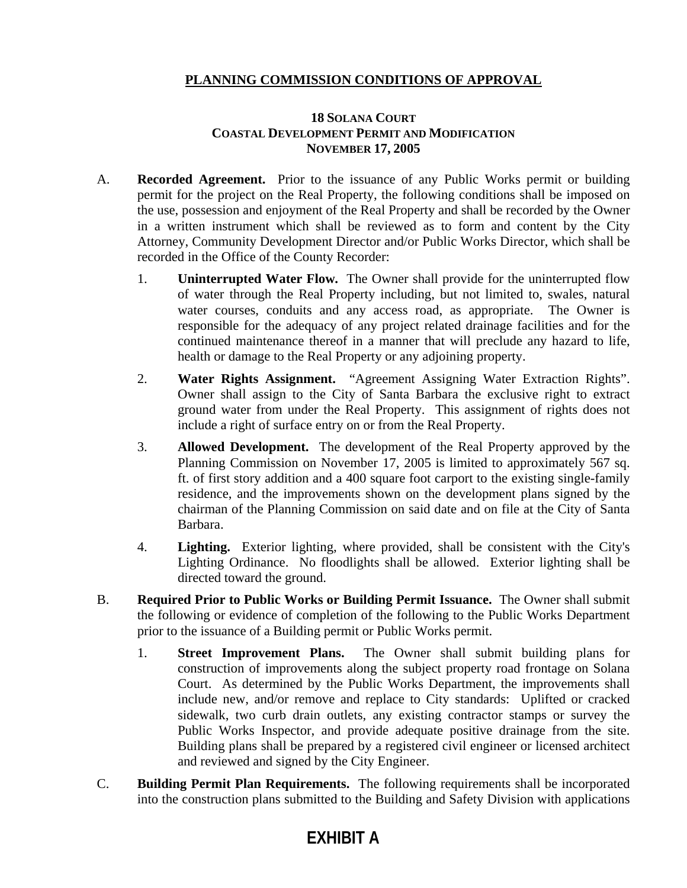## **PLANNING COMMISSION CONDITIONS OF APPROVAL**

## **18 SOLANA COURT COASTAL DEVELOPMENT PERMIT AND MODIFICATION NOVEMBER 17, 2005**

- A. **Recorded Agreement.** Prior to the issuance of any Public Works permit or building permit for the project on the Real Property, the following conditions shall be imposed on the use, possession and enjoyment of the Real Property and shall be recorded by the Owner in a written instrument which shall be reviewed as to form and content by the City Attorney, Community Development Director and/or Public Works Director, which shall be recorded in the Office of the County Recorder:
	- 1. **Uninterrupted Water Flow.** The Owner shall provide for the uninterrupted flow of water through the Real Property including, but not limited to, swales, natural water courses, conduits and any access road, as appropriate. The Owner is responsible for the adequacy of any project related drainage facilities and for the continued maintenance thereof in a manner that will preclude any hazard to life, health or damage to the Real Property or any adjoining property.
	- 2. **Water Rights Assignment.** "Agreement Assigning Water Extraction Rights". Owner shall assign to the City of Santa Barbara the exclusive right to extract ground water from under the Real Property. This assignment of rights does not include a right of surface entry on or from the Real Property.
	- 3. **Allowed Development.** The development of the Real Property approved by the Planning Commission on November 17, 2005 is limited to approximately 567 sq. ft. of first story addition and a 400 square foot carport to the existing single-family residence, and the improvements shown on the development plans signed by the chairman of the Planning Commission on said date and on file at the City of Santa Barbara.
	- 4. **Lighting.** Exterior lighting, where provided, shall be consistent with the City's Lighting Ordinance. No floodlights shall be allowed. Exterior lighting shall be directed toward the ground.
- B. **Required Prior to Public Works or Building Permit Issuance.** The Owner shall submit the following or evidence of completion of the following to the Public Works Department prior to the issuance of a Building permit or Public Works permit.
	- 1. **Street Improvement Plans.** The Owner shall submit building plans for construction of improvements along the subject property road frontage on Solana Court. As determined by the Public Works Department, the improvements shall include new, and/or remove and replace to City standards: Uplifted or cracked sidewalk, two curb drain outlets, any existing contractor stamps or survey the Public Works Inspector, and provide adequate positive drainage from the site. Building plans shall be prepared by a registered civil engineer or licensed architect and reviewed and signed by the City Engineer.
- C. **Building Permit Plan Requirements.** The following requirements shall be incorporated into the construction plans submitted to the Building and Safety Division with applications

## **EXHIBIT A**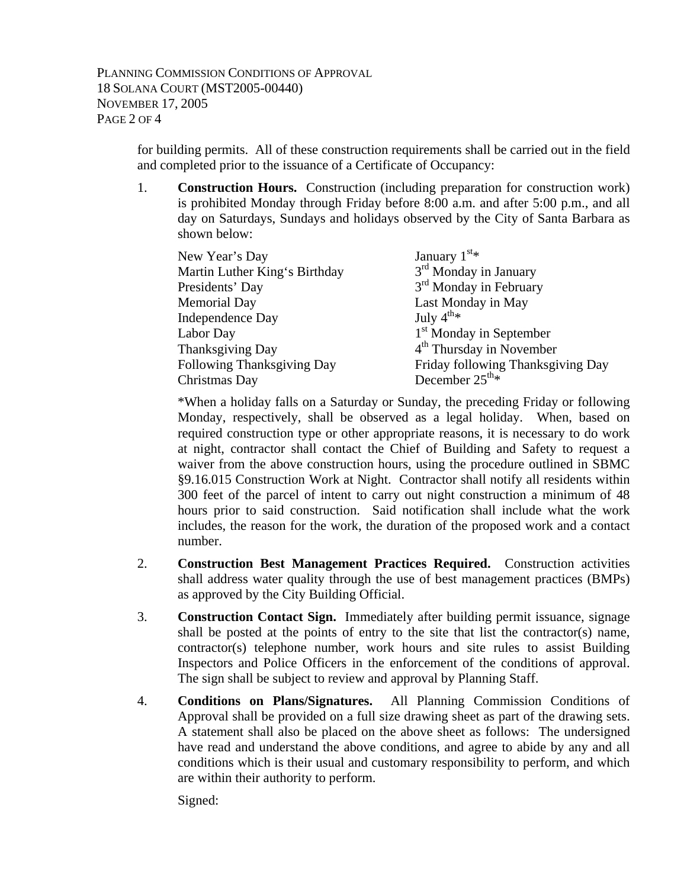for building permits. All of these construction requirements shall be carried out in the field and completed prior to the issuance of a Certificate of Occupancy:

1. **Construction Hours.** Construction (including preparation for construction work) is prohibited Monday through Friday before 8:00 a.m. and after 5:00 p.m., and all day on Saturdays, Sundays and holidays observed by the City of Santa Barbara as shown below:

| New Year's Day                | January $1^{st*}$                    |
|-------------------------------|--------------------------------------|
| Martin Luther King's Birthday | $3rd$ Monday in January              |
| Presidents' Day               | 3 <sup>rd</sup> Monday in February   |
| <b>Memorial Day</b>           | Last Monday in May                   |
| Independence Day              | July $4^{\text{th}_{*}}$             |
| Labor Day                     | 1 <sup>st</sup> Monday in September  |
| Thanksgiving Day              | 4 <sup>th</sup> Thursday in November |
| Following Thanksgiving Day    | Friday following Thanksgiving Day    |
| Christmas Day                 | December $25^{\text{th}_{*}}$        |

\*When a holiday falls on a Saturday or Sunday, the preceding Friday or following Monday, respectively, shall be observed as a legal holiday. When, based on required construction type or other appropriate reasons, it is necessary to do work at night, contractor shall contact the Chief of Building and Safety to request a waiver from the above construction hours, using the procedure outlined in SBMC §9.16.015 Construction Work at Night. Contractor shall notify all residents within 300 feet of the parcel of intent to carry out night construction a minimum of 48 hours prior to said construction. Said notification shall include what the work includes, the reason for the work, the duration of the proposed work and a contact number.

- 2. **Construction Best Management Practices Required.** Construction activities shall address water quality through the use of best management practices (BMPs) as approved by the City Building Official.
- 3. **Construction Contact Sign.** Immediately after building permit issuance, signage shall be posted at the points of entry to the site that list the contractor(s) name, contractor(s) telephone number, work hours and site rules to assist Building Inspectors and Police Officers in the enforcement of the conditions of approval. The sign shall be subject to review and approval by Planning Staff.
- 4. **Conditions on Plans/Signatures.** All Planning Commission Conditions of Approval shall be provided on a full size drawing sheet as part of the drawing sets. A statement shall also be placed on the above sheet as follows: The undersigned have read and understand the above conditions, and agree to abide by any and all conditions which is their usual and customary responsibility to perform, and which are within their authority to perform.

Signed: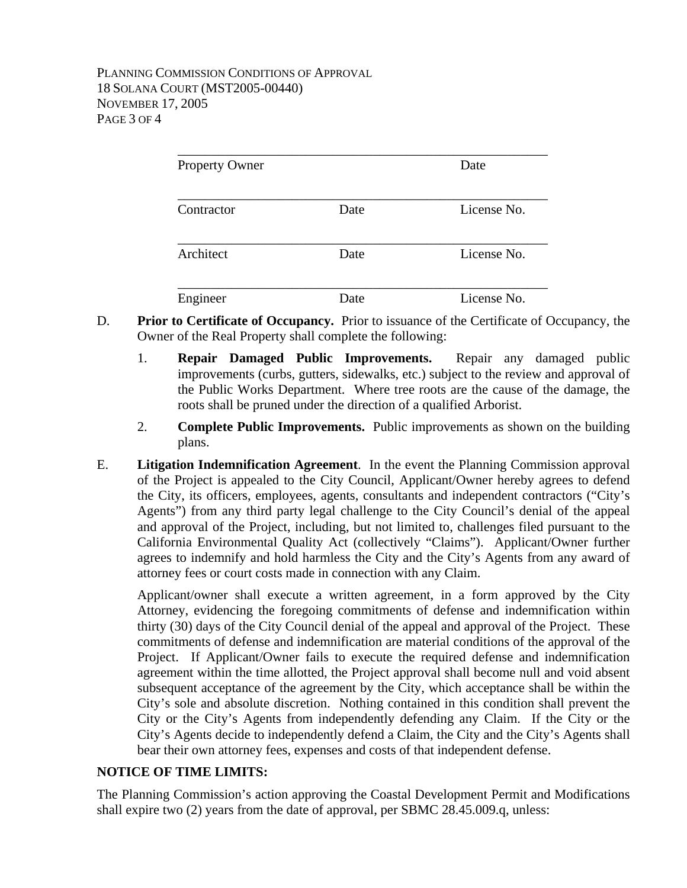| <b>Property Owner</b> |      | Date        |
|-----------------------|------|-------------|
| Contractor            | Date | License No. |
| Architect             | Date | License No. |
| Engineer              | Date | License No. |

- D. **Prior to Certificate of Occupancy.** Prior to issuance of the Certificate of Occupancy, the Owner of the Real Property shall complete the following:
	- 1. **Repair Damaged Public Improvements.** Repair any damaged public improvements (curbs, gutters, sidewalks, etc.) subject to the review and approval of the Public Works Department. Where tree roots are the cause of the damage, the roots shall be pruned under the direction of a qualified Arborist.
	- 2. **Complete Public Improvements.** Public improvements as shown on the building plans.
- E. **Litigation Indemnification Agreement**. In the event the Planning Commission approval of the Project is appealed to the City Council, Applicant/Owner hereby agrees to defend the City, its officers, employees, agents, consultants and independent contractors ("City's Agents") from any third party legal challenge to the City Council's denial of the appeal and approval of the Project, including, but not limited to, challenges filed pursuant to the California Environmental Quality Act (collectively "Claims"). Applicant/Owner further agrees to indemnify and hold harmless the City and the City's Agents from any award of attorney fees or court costs made in connection with any Claim.

Applicant/owner shall execute a written agreement, in a form approved by the City Attorney, evidencing the foregoing commitments of defense and indemnification within thirty (30) days of the City Council denial of the appeal and approval of the Project. These commitments of defense and indemnification are material conditions of the approval of the Project. If Applicant/Owner fails to execute the required defense and indemnification agreement within the time allotted, the Project approval shall become null and void absent subsequent acceptance of the agreement by the City, which acceptance shall be within the City's sole and absolute discretion. Nothing contained in this condition shall prevent the City or the City's Agents from independently defending any Claim. If the City or the City's Agents decide to independently defend a Claim, the City and the City's Agents shall bear their own attorney fees, expenses and costs of that independent defense.

## **NOTICE OF TIME LIMITS:**

The Planning Commission's action approving the Coastal Development Permit and Modifications shall expire two (2) years from the date of approval, per SBMC 28.45.009.q, unless: